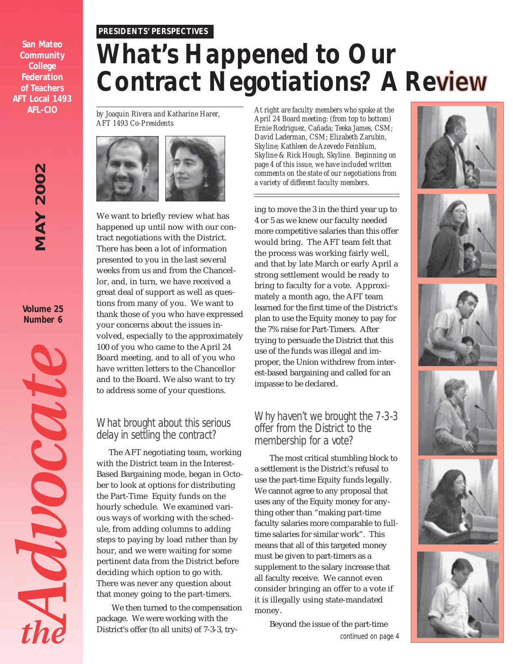#### *PRESIDENTS' PERSPECTIVES*

**San Mateo Community College Federation of Teachers AFT Local 1493 AFL-CIO**

## **MAY 2002** *MAY 2002*

**Volume 25 Number 6**



## *What's Happened to Our* **Contract Negotiations? A Review**

*by Joaquin Rivera and Katharine Harer, AFT 1493 Co-Presidents*



We want to briefly review what has happened up until now with our contract negotiations with the District. There has been a lot of information presented to you in the last several weeks from us and from the Chancellor, and, in turn, we have received a great deal of support as well as questions from many of you. We want to thank those of you who have expressed your concerns about the issues involved, especially to the approximately 100 of you who came to the April 24 Board meeting, and to all of you who have written letters to the Chancellor and to the Board. We also want to try to address some of your questions.

#### *What brought about this serious delay in settling the contract?*

The AFT negotiating team, working with the District team in the Interest-Based Bargaining mode, began in October to look at options for distributing the Part-Time Equity funds on the hourly schedule. We examined various ways of working with the schedule, from adding columns to adding steps to paying by load rather than by hour, and we were waiting for some pertinent data from the District before deciding which option to go with. There was never any question about that money going to the part-timers.

We then turned to the compensation package. We were working with the District's offer (to all units) of 7-3-3, try-

*At right are faculty members who spoke at the April 24 Board meeting: (from top to bottom) Ernie Rodriguez, Cañada; Teeka James, CSM; David Laderman, CSM; Elizabeth Zarubin, Skyline; Kathleen de Azevedo Feinblum, Skyline & Rick Hough, Skyline. Beginning on page 4 of this issue, we have included written comments on the state of our negotiations from a variety of different faculty members.*

ing to move the 3 in the third year up to 4 or 5 as we knew our faculty needed more competitive salaries than this offer would bring. The AFT team felt that the process was working fairly well, and that by late March or early April a strong settlement would be ready to bring to faculty for a vote. Approximately a month ago, the AFT team learned for the first time of the District's plan to use the Equity money to pay for the 7% raise for Part-Timers. After trying to persuade the District that this use of the funds was illegal and improper, the Union withdrew from interest-based bargaining and called for an impasse to be declared.

#### *Why haven't we brought the 7-3-3 offer from the District to the membership for a vote?*

The most critical stumbling block to a settlement is the District's refusal to use the part-time Equity funds legally. We cannot agree to any proposal that uses any of the Equity money for anything other than "making part-time faculty salaries more comparable to fulltime salaries for similar work". This means that all of this targeted money must be given to part-timers as a supplement to the salary increase that all faculty receive. We cannot even consider bringing an offer to a vote if it is illegally using state-mandated money.

> Beyond the issue of the part-time *continued on page 4*











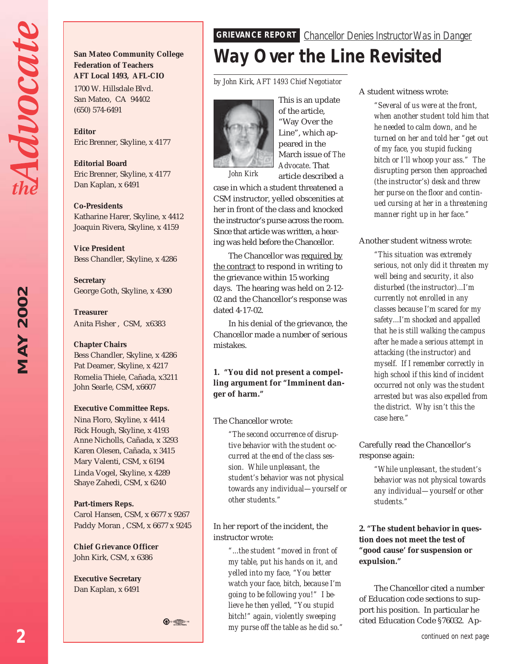Advocat

## 2002 *MAY 2002* MAY

#### **San Mateo Community College Federation of Teachers AFT Local 1493, AFL-CIO**

1700 W. Hillsdale Blvd. San Mateo, CA 94402 (650) 574-6491

**Editor** Eric Brenner, Skyline, x 4177

**Editorial Board** Eric Brenner, Skyline, x 4177 Dan Kaplan, x 6491

#### **Co-Presidents**

Katharine Harer, Skyline, x 4412 Joaquin Rivera, Skyline, x 4159

**Vice President** Bess Chandler, Skyline, x 4286

**Secretary** George Goth, Skyline, x 4390

**Treasurer** Anita Fisher , CSM, x6383

#### **Chapter Chairs**

Bess Chandler, Skyline, x 4286 Pat Deamer, Skyline, x 4217 Romelia Thiele, Cañada, x3211 John Searle, CSM, x6607

#### **Executive Committee Reps.**

Nina Floro, Skyline, x 4414 Rick Hough, Skyline, x 4193 Anne Nicholls, Cañada, x 3293 Karen Olesen, Cañada, x 3415 Mary Valenti, CSM, x 6194 Linda Vogel, Skyline, x 4289 Shaye Zahedi, CSM, x 6240

#### **Part-timers Reps.**

Carol Hansen, CSM, x 6677 x 9267 Paddy Moran , CSM, x 6677 x 9245

**Chief Grievance Officer** John Kirk, CSM, x 6386

**Executive Secretary** Dan Kaplan, x 6491

#### **GRIEVANCE REPORT** *Chancellor Denies Instructor Was in Danger*

## *Way Over the Line Revisited*

*by John Kirk, AFT 1493 Chief Negotiator*



This is an update of the article, "Way Over the Line", which appeared in the March issue of *The Advocate*. That article described a

*John Kirk*

case in which a student threatened a CSM instructor, yelled obscenities at her in front of the class and knocked the instructor's purse across the room. Since that article was written, a hearing was held before the Chancellor.

The Chancellor was required by the contract to respond in writing to the grievance within 15 working days. The hearing was held on 2-12- 02 and the Chancellor's response was dated 4-17-02.

In his denial of the grievance, the Chancellor made a number of serious mistakes.

**1. "You did not present a compelling argument for "Imminent danger of harm."**

#### The Chancellor wrote:

*"The second occurrence of disruptive behavior with the student occurred at the end of the class session. While unpleasant, the student's behavior was not physical towards any individual—yourself or other students."*

In her report of the incident, the instructor wrote:

*"...the student "moved in front of my table, put his hands on it, and yelled into my face, "You better watch your face, bitch, because I'm going to be following you!" I believe he then yelled, "You stupid bitch!" again, violently sweeping my purse off the table as he did so."*

#### A student witness wrote:

*"Several of us were at the front, when another student told him that he needed to calm down, and he turned on her and told her "get out of my face, you stupid fucking bitch or I'll whoop your ass." The disrupting person then approached (the instructor's) desk and threw her purse on the floor and continued cursing at her in a threatening manner right up in her face."*

#### Another student witness wrote:

*"This situation was extremely serious, not only did it threaten my well being and security, it also disturbed (the instructor)...I'm currently not enrolled in any classes because I'm scared for my safety...I'm shocked and appalled that he is still walking the campus after he made a serious attempt in attacking (the instructor) and myself. If I remember correctly in high school if this kind of incident occurred not only was the student arrested but was also expelled from the district. Why isn't this the case here."*

Carefully read the Chancellor's response again:

> *"While unpleasant, the student's behavior was not physical towards any individual—yourself or other students."*

**2. "The student behavior in question does not meet the test of "good cause' for suspension or expulsion."**

The Chancellor cited a number of Education code sections to support his position. In particular he cited Education Code §76032. Ap-

 $\bigoplus$   $\bigoplus$   $\cdots$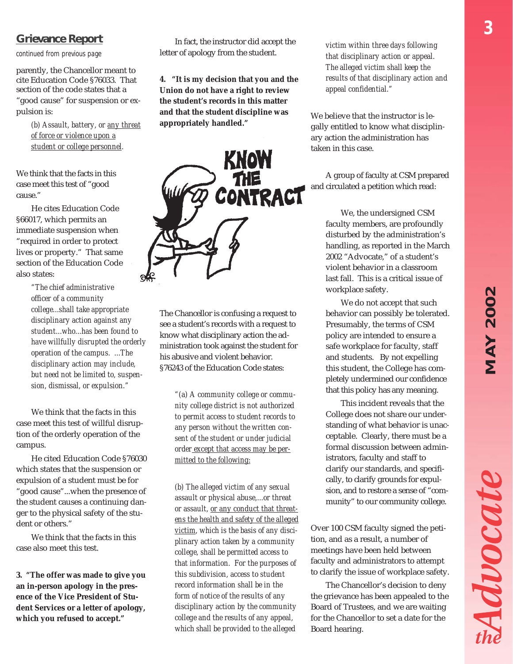#### **Grievance Report**

*continued from previous page*

parently, the Chancellor meant to cite Education Code §76033. That section of the code states that a "good cause" for suspension or expulsion is:

> *(b) Assault, battery, or any threat of force or violence upon a student or college personnel.*

We think that the facts in this case meet this test of "good cause."

He cites Education Code §66017, which permits an immediate suspension when "required in order to protect lives or property." That same section of the Education Code also states:

> *"The chief administrative officer of a community college...shall take appropriate disciplinary action against any student...who...has been found to have willfully disrupted the orderly operation of the campus. ...The disciplinary action may include, but need not be limited to, suspension, dismissal, or expulsion."*

We think that the facts in this case meet this test of willful disruption of the orderly operation of the campus.

He cited Education Code §76030 which states that the suspension or expulsion of a student must be for "good cause"...when the presence of the student causes a continuing danger to the physical safety of the student or others."

We think that the facts in this case also meet this test.

**3. "The offer was made to give you an in-person apology in the presence of the Vice President of Student Services or a letter of apology, which you refused to accept."**

In fact, the instructor did accept the letter of apology from the student.

**4. "It is my decision that you and the Union do not have a right to review the student's records in this matter and that the student discipline was appropriately handled."**



The Chancellor is confusing a request to see a student's records with a request to know what disciplinary action the administration took against the student for his abusive and violent behavior. §76243 of the Education Code states:

> *"(a) A community college or community college district is not authorized to permit access to student records to any person without the written consent of the student or under judicial order except that access may be permitted to the following:*

*(b) The alleged victim of any sexual assault or physical abuse,...or threat or assault, or any conduct that threatens the health and safety of the alleged victim, which is the basis of any disciplinary action taken by a community college, shall be permitted access to that information. For the purposes of this subdivision, access to student record information shall be in the form of notice of the results of any disciplinary action by the community college and the results of any appeal, which shall be provided to the alleged*

*victim within three days following that disciplinary action or appeal. The alleged victim shall keep the results of that disciplinary action and appeal confidential."*

We believe that the instructor is legally entitled to know what disciplinary action the administration has taken in this case.

A group of faculty at CSM prepared and circulated a petition which read:

> We, the undersigned CSM faculty members, are profoundly disturbed by the administration's handling, as reported in the March 2002 "Advocate," of a student's violent behavior in a classroom last fall. This is a critical issue of workplace safety.

> We do not accept that such behavior can possibly be tolerated. Presumably, the terms of CSM policy are intended to ensure a safe workplace for faculty, staff and students. By not expelling this student, the College has completely undermined our confidence that this policy has any meaning.

> This incident reveals that the College does not share our understanding of what behavior is unacceptable. Clearly, there must be a formal discussion between administrators, faculty and staff to clarify our standards, and specifically, to clarify grounds for expulsion, and to restore a sense of "community" to our community college.

Over 100 CSM faculty signed the petition, and as a result, a number of meetings have been held between faculty and administrators to attempt to clarify the issue of workplace safety.

The Chancellor's decision to deny the grievance has been appealed to the Board of Trustees, and we are waiting for the Chancellor to set a date for the Board hearing.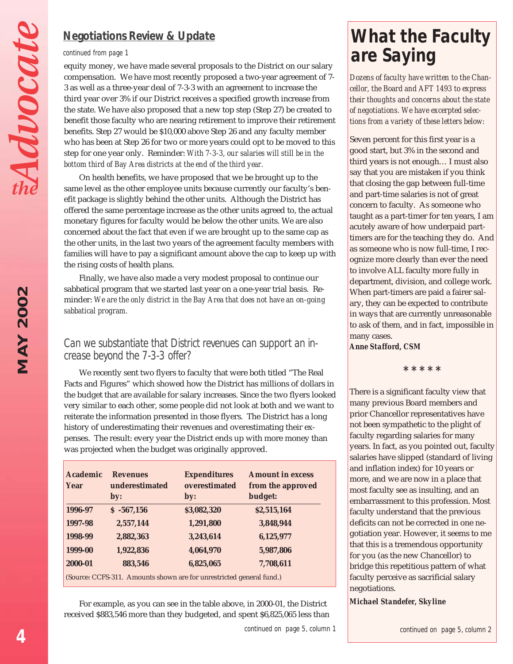#### *Negotiations Review & Update*

#### *continued from page 1*

equity money, we have made several proposals to the District on our salary compensation. We have most recently proposed a two-year agreement of 7- 3 as well as a three-year deal of 7-3-3 with an agreement to increase the third year over 3% if our District receives a specified growth increase from the state. We have also proposed that a new top step (Step 27) be created to benefit those faculty who are nearing retirement to improve their retirement benefits. Step 27 would be \$10,000 above Step 26 and any faculty member who has been at Step 26 for two or more years could opt to be moved to this step for one year only. Reminder: *With 7-3-3, our salaries will still be in the bottom third of Bay Area districts at the end of the third year.*

On health benefits, we have proposed that we be brought up to the same level as the other employee units because currently our faculty's benefit package is slightly behind the other units. Although the District has offered the same percentage increase as the other units agreed to, the actual monetary figures for faculty would be below the other units. We are also concerned about the fact that even if we are brought up to the same cap as the other units, in the last two years of the agreement faculty members with families will have to pay a significant amount above the cap to keep up with the rising costs of health plans.

Finally, we have also made a very modest proposal to continue our sabbatical program that we started last year on a one-year trial basis. Reminder: *We are the only district in the Bay Area that does not have an on-going sabbatical program.*

#### *Can we substantiate that District revenues can support an increase beyond the 7-3-3 offer?*

We recently sent two flyers to faculty that were both titled "The Real Facts and Figures" which showed how the District has millions of dollars in the budget that are available for salary increases. Since the two flyers looked very similar to each other, some people did not look at both and we want to reiterate the information presented in those flyers. The District has a long history of underestimating their revenues and overestimating their expenses. The result: every year the District ends up with more money than was projected when the budget was originally approved.

| <b>Academic</b><br>Year | <b>Revenues</b><br>underestimated<br>by: | <b>Expenditures</b><br>overestimated<br>by:                          | <b>Amount in excess</b><br>from the approved<br>budget: |
|-------------------------|------------------------------------------|----------------------------------------------------------------------|---------------------------------------------------------|
| 1996-97                 | $$ -567,156$                             | \$3,082,320                                                          | \$2,515,164                                             |
| 1997-98                 | 2,557,144                                | 1,291,800                                                            | 3,848,944                                               |
| 1998-99                 | 2,882,363                                | 3,243,614                                                            | 6,125,977                                               |
| 1999-00                 | 1,922,836                                | 4,064,970                                                            | 5,987,806                                               |
| 2000-01                 | 883,546                                  | 6,825,065                                                            | 7,708,611                                               |
|                         |                                          | (Source: CCFS-311. Amounts shown are for unrestricted general fund.) |                                                         |

For example, as you can see in the table above, in 2000-01, the District received \$883,546 more than they budgeted, and spent \$6,825,065 less than

## *What the Faculty are Saying*

*Dozens of faculty have written to the Chancellor, the Board and AFT 1493 to express their thoughts and concerns about the state of negotiations. We have excerpted selections from a variety of these letters below:*

Seven percent for this first year is a good start, but 3% in the second and third years is not enough… I must also say that you are mistaken if you think that closing the gap between full-time and part-time salaries is not of great concern to faculty. As someone who taught as a part-timer for ten years, I am acutely aware of how underpaid parttimers are for the teaching they do. And as someone who is now full-time, I recognize more clearly than ever the need to involve ALL faculty more fully in department, division, and college work. When part-timers are paid a fairer salary, they can be expected to contribute in ways that are currently unreasonable to ask of them, and in fact, impossible in many cases.

*Anne Stafford, CSM*

**\* \* \* \* \***

There is a significant faculty view that many previous Board members and prior Chancellor representatives have not been sympathetic to the plight of faculty regarding salaries for many years. In fact, as you pointed out, faculty salaries have slipped (standard of living and inflation index) for 10 years or more, and we are now in a place that most faculty see as insulting, and an embarrassment to this profession. Most faculty understand that the previous deficits can not be corrected in one negotiation year. However, it seems to me that this is a tremendous opportunity for you (as the new Chancellor) to bridge this repetitious pattern of what faculty perceive as sacrificial salary negotiations.

*Michael Standefer, Skyline*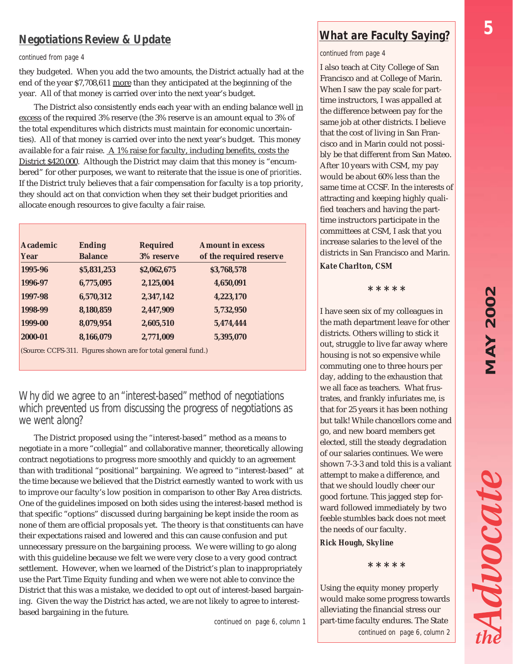#### *Negotiations Review & Update*

#### *continued from page 4*

they budgeted. When you add the two amounts, the District actually had at the end of the year \$7,708,611 more than they anticipated at the beginning of the year. All of that money is carried over into the next year's budget.

The District also consistently ends each year with an ending balance well in excess of the required 3% reserve (the 3% reserve is an amount equal to 3% of the total expenditures which districts must maintain for economic uncertainties). All of that money is carried over into the next year's budget. This money available for a fair raise. A 1% raise for faculty, including benefits, costs the District \$420,000. Although the District may claim that this money is "encumbered" for other purposes, we want to reiterate that the issue is one of *priorities*. If the District truly believes that a fair compensation for faculty is a top priority, they should act on that conviction when they set their budget priorities and allocate enough resources to give faculty a fair raise.

| <b>Academic</b> | <b>Ending</b>  | <b>Required</b> | <b>Amount in excess</b> |
|-----------------|----------------|-----------------|-------------------------|
| Year            | <b>Balance</b> | 3% reserve      | of the required reserve |
| 1995-96         | \$5,831,253    | \$2,062,675     | \$3,768,578             |
| 1996-97         | 6,775,095      | 2,125,004       | 4,650,091               |
| 1997-98         | 6,570,312      | 2,347,142       | 4,223,170               |
| 1998-99         | 8,180,859      | 2,447,909       | 5,732,950               |
| 1999-00         | 8,079,954      | 2,605,510       | 5,474,444               |
| 2000-01         | 8,166,079      | 2,771,009       | 5,395,070               |

(Source: CCFS-311. Figures shown are for total general fund.)

#### *Why did we agree to an "interest-based" method of negotiations which prevented us from discussing the progress of negotiations as we went along?*

The District proposed using the "interest-based" method as a means to negotiate in a more "collegial" and collaborative manner, theoretically allowing contract negotiations to progress more smoothly and quickly to an agreement than with traditional "positional" bargaining. We agreed to "interest-based" at the time because we believed that the District earnestly wanted to work with us to improve our faculty's low position in comparison to other Bay Area districts. One of the guidelines imposed on both sides using the interest-based method is that specific "options" discussed during bargaining be kept inside the room as none of them are official proposals yet. The theory is that constituents can have their expectations raised and lowered and this can cause confusion and put unnecessary pressure on the bargaining process. We were willing to go along with this guideline because we felt we were very close to a very good contract settlement. However, when we learned of the District's plan to inappropriately use the Part Time Equity funding and when we were not able to convince the District that this was a mistake, we decided to opt out of interest-based bargaining. Given the way the District has acted, we are not likely to agree to interestbased bargaining in the future.

*continued on page 6, column 1*

#### *What are Faculty Saying?*

*continued from page 4*

I also teach at City College of San Francisco and at College of Marin. When I saw the pay scale for parttime instructors, I was appalled at the difference between pay for the same job at other districts. I believe that the cost of living in San Francisco and in Marin could not possibly be that different from San Mateo. After 10 years with CSM, my pay would be about 60% less than the same time at CCSF. In the interests of attracting and keeping highly qualified teachers and having the parttime instructors participate in the committees at CSM, I ask that you increase salaries to the level of the districts in San Francisco and Marin.

*Kate Charlton, CSM*

**\* \* \* \* \***

I have seen six of my colleagues in the math department leave for other districts. Others willing to stick it out, struggle to live far away where housing is not so expensive while commuting one to three hours per day, adding to the exhaustion that we all face as teachers. What frustrates, and frankly infuriates me, is that for 25 years it has been nothing but talk! While chancellors come and go, and new board members get elected, still the steady degradation of our salaries continues. We were shown 7-3-3 and told this is a valiant attempt to make a difference, and that we should loudly cheer our good fortune. This jagged step forward followed immediately by two feeble stumbles back does not meet the needs of our faculty.

#### *Rick Hough, Skyline*

**\* \* \* \* \***

Using the equity money properly would make some progress towards alleviating the financial stress our part-time faculty endures. The State *continued on page 6, column 2* Advocate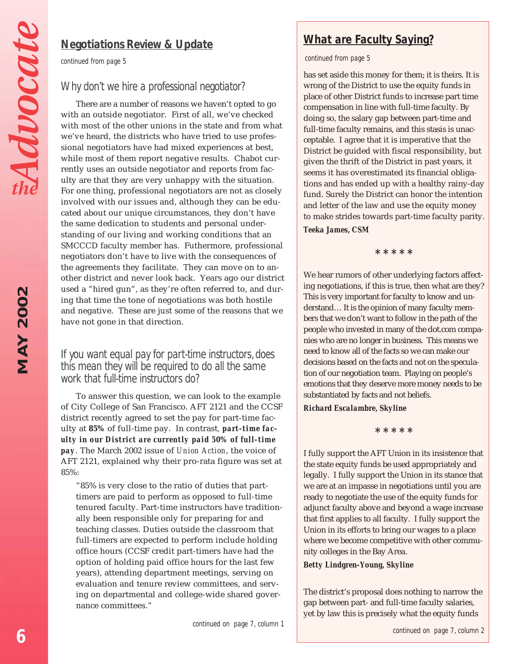*MAY 2002*

**MAY 2002** 

#### *Negotiations Review & Update*

*continued from page 5*

#### *Why don't we hire a professional negotiator?*

There are a number of reasons we haven't opted to go with an outside negotiator. First of all, we've checked with most of the other unions in the state and from what we've heard, the districts who have tried to use professional negotiators have had mixed experiences at best, while most of them report negative results. Chabot currently uses an outside negotiator and reports from faculty are that they are very unhappy with the situation. For one thing, professional negotiators are not as closely involved with our issues and, although they can be educated about our unique circumstances, they don't have the same dedication to students and personal understanding of our living and working conditions that an SMCCCD faculty member has. Futhermore, professional negotiators don't have to live with the consequences of the agreements they facilitate. They can move on to another district and never look back. Years ago our district used a "hired gun", as they're often referred to, and during that time the tone of negotiations was both hostile and negative. These are just some of the reasons that we have not gone in that direction.

#### *If you want equal pay for part-time instructors, does this mean they will be required to do all the same work that full-time instructors do?*

To answer this question, we can look to the example of City College of San Francisco. AFT 2121 and the CCSF district recently agreed to set the pay for part-time faculty at **85%** of full-time pay. In contrast*, part-time faculty in our District are currently paid 50% of full-time pay*. The March 2002 issue of *Union Action*, the voice of AFT 2121, explained why their pro-rata figure was set at 85%:

"85% is very close to the ratio of duties that parttimers are paid to perform as opposed to full-time tenured faculty. Part-time instructors have traditionally been responsible only for preparing for and teaching classes. Duties outside the classroom that full-timers are expected to perform include holding office hours (CCSF credit part-timers have had the option of holding paid office hours for the last few years), attending department meetings, serving on evaluation and tenure review committees, and serving on departmental and college-wide shared governance committees."

#### *continued from page 5*

has set aside this money for them; it is theirs. It is wrong of the District to use the equity funds in place of other District funds to increase part time compensation in line with full-time faculty. By doing so, the salary gap between part-time and full-time faculty remains, and this stasis is unacceptable. I agree that it is imperative that the District be guided with fiscal responsibility, but given the thrift of the District in past years, it seems it has overestimated its financial obligations and has ended up with a healthy rainy-day fund. Surely the District can honor the intention and letter of the law and use the equity money to make strides towards part-time faculty parity.

#### *Teeka James, CSM*

**\* \* \* \* \***

We hear rumors of other underlying factors affecting negotiations, if this is true, then what are they? This is very important for faculty to know and understand… It is the opinion of many faculty members that we don't want to follow in the path of the people who invested in many of the dot.com companies who are no longer in business. This means we need to know all of the facts so we can make our decisions based on the facts and not on the speculation of our negotiation team. Playing on people's emotions that they deserve more money needs to be substantiated by facts and not beliefs.

#### *Richard Escalambre, Skyline*

**\* \* \* \* \***

I fully support the AFT Union in its insistence that the state equity funds be used appropriately and legally. I fully support the Union in its stance that we are at an impasse in negotiations until you are ready to negotiate the use of the equity funds for adjunct faculty above and beyond a wage increase that first applies to all faculty. I fully support the Union in its efforts to bring our wages to a place where we become competitive with other community colleges in the Bay Area.

#### *Betty Lindgren-Young, Skyline*

The district's proposal does nothing to narrow the gap between part- and full-time faculty salaries, yet by law this is precisely what the equity funds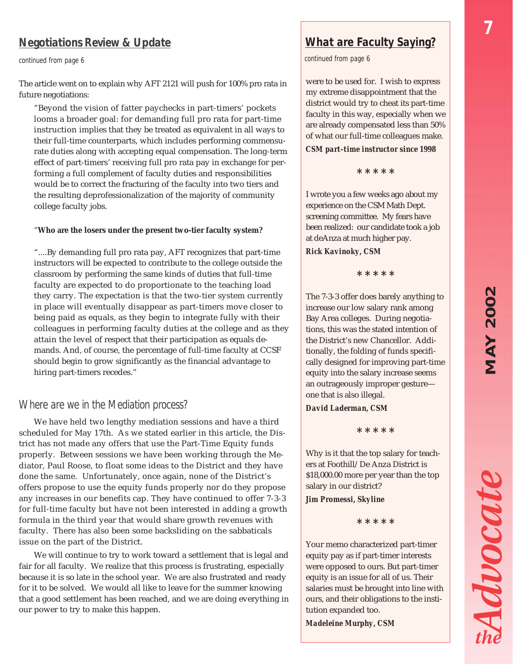# **MAY 2002** *MAY 2002*

Advocate

*7*

#### *Negotiations Review & Update*

*continued from page 6*

The article went on to explain why AFT 2121 will push for 100% pro rata in future negotiations:

"Beyond the vision of fatter paychecks in part-timers' pockets looms a broader goal: for demanding full pro rata for part-time instruction implies that they be treated as equivalent in all ways to their full-time counterparts, which includes performing commensurate duties along with accepting equal compensation. The long-term effect of part-timers' receiving full pro rata pay in exchange for performing a full complement of faculty duties and responsibilities would be to correct the fracturing of the faculty into two tiers and the resulting deprofessionalization of the majority of community college faculty jobs.

#### "**Who are the losers under the present two-tier faculty system?**

"....By demanding full pro rata pay, AFT recognizes that part-time instructors will be expected to contribute to the college outside the classroom by performing the same kinds of duties that full-time faculty are expected to do proportionate to the teaching load they carry. The expectation is that the two-tier system currently in place will eventually disappear as part-timers move closer to being paid as equals, as they begin to integrate fully with their colleagues in performing faculty duties at the college and as they attain the level of respect that their participation as equals demands. And, of course, the percentage of full-time faculty at CCSF should begin to grow significantly as the financial advantage to hiring part-timers recedes."

#### *Where are we in the Mediation process?*

We have held two lengthy mediation sessions and have a third scheduled for May 17th. As we stated earlier in this article, the District has not made any offers that use the Part-Time Equity funds properly. Between sessions we have been working through the Mediator, Paul Roose, to float some ideas to the District and they have done the same. Unfortunately, once again, none of the District's offers propose to use the equity funds properly nor do they propose any increases in our benefits cap. They have continued to offer 7-3-3 for full-time faculty but have not been interested in adding a growth formula in the third year that would share growth revenues with faculty. There has also been some backsliding on the sabbaticals issue on the part of the District.

We will continue to try to work toward a settlement that is legal and fair for all faculty. We realize that this process is frustrating, especially because it is so late in the school year. We are also frustrated and ready for it to be solved. We would all like to leave for the summer knowing that a good settlement has been reached, and we are doing everything in our power to try to make this happen.

#### *What are Faculty Saying?*

*continued from page 6*

were to be used for. I wish to express my extreme disappointment that the district would try to cheat its part-time faculty in this way, especially when we are already compensated less than 50% of what our full-time colleagues make.

#### *CSM part-time instructor since 1998*

**\* \* \* \* \***

I wrote you a few weeks ago about my experience on the CSM Math Dept. screening committee. My fears have been realized: our candidate took a job at deAnza at much higher pay.

*Rick Kavinoky, CSM*

**\* \* \* \* \***

The 7-3-3 offer does barely anything to increase our low salary rank among Bay Area colleges. During negotiations, this was the stated intention of the District's new Chancellor. Additionally, the folding of funds specifically designed for improving part-time equity into the salary increase seems an outrageously improper gesture one that is also illegal.

#### *David Laderman, CSM*

**\* \* \* \* \***

Why is it that the top salary for teachers at Foothill/De Anza District is \$18,000.00 more per year than the top salary in our district?

*Jim Promessi, Skyline*

**\* \* \* \* \***

Your memo characterized part-timer equity pay as if part-timer interests were opposed to ours. But part-timer equity is an issue for all of us. Their salaries must be brought into line with ours, and their obligations to the institution expanded too.

*Madeleine Murphy, CSM*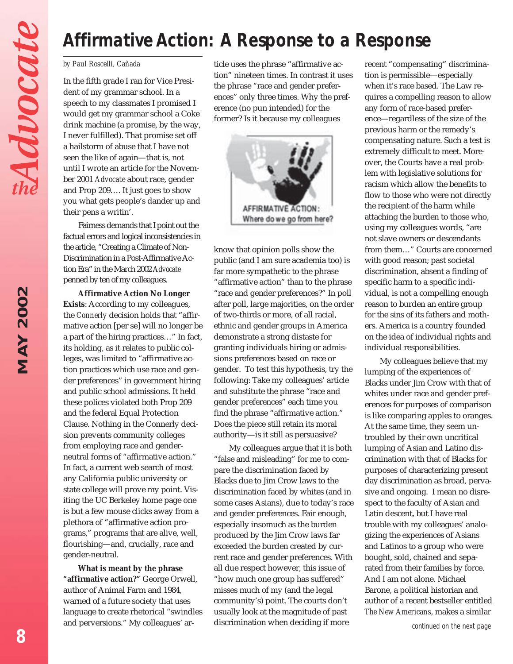## *Affirmative Action: A Response to a Response*

#### *by Paul Roscelli, Cañada*

In the fifth grade I ran for Vice President of my grammar school. In a speech to my classmates I promised I would get my grammar school a Coke drink machine (a promise, by the way, I never fulfilled). That promise set off a hailstorm of abuse that I have not seen the like of again—that is, not until I wrote an article for the November 2001 *Advocate* about race, gender and Prop 209…. It just goes to show you what gets people's dander up and their pens a writin'.

Fairness demands that I point out the factual errors and logical inconsistencies in the article, "Creating a Climate of Non-Discrimination in a Post-Affirmative Action Era" in the March 2002 *Advocate* penned by ten of my colleagues.

**Affirmative Action No Longer Exists**: According to my colleagues, the *Connerly* decision holds that "affirmative action [per se] will no longer be a part of the hiring practices…" In fact, its holding, as it relates to public colleges, was limited to "affirmative action practices which use race and gender preferences" in government hiring and public school admissions. It held these polices violated both Prop 209 and the federal Equal Protection Clause. Nothing in the Connerly decision prevents community colleges from employing race and genderneutral forms of "affirmative action." In fact, a current web search of most any California public university or state college will prove my point. Visiting the UC Berkeley home page one is but a few mouse clicks away from a plethora of "affirmative action programs," programs that are alive, well, flourishing—and, crucially, race and gender-neutral.

**What is meant by the phrase "affirmative action?"** George Orwell, author of Animal Farm and 1984, warned of a future society that uses language to create rhetorical "swindles and perversions." My colleagues' article uses the phrase "affirmative action" nineteen times. In contrast it uses the phrase "race and gender preferences" only three times. Why the preference (no pun intended) for the former? Is it because my colleagues



know that opinion polls show the public (and I am sure academia too) is far more sympathetic to the phrase "affirmative action" than to the phrase "race and gender preferences?" In poll after poll, large majorities, on the order of two-thirds or more, of all racial, ethnic and gender groups in America demonstrate a strong distaste for granting individuals hiring or admissions preferences based on race or gender. To test this hypothesis, try the following: Take my colleagues' article and substitute the phrase "race and gender preferences" each time you find the phrase "affirmative action." Does the piece still retain its moral authority—is it still as persuasive?

My colleagues argue that it is both "false and misleading" for me to compare the discrimination faced by Blacks due to Jim Crow laws to the discrimination faced by whites (and in some cases Asians), due to today's race and gender preferences. Fair enough, especially insomuch as the burden produced by the Jim Crow laws far exceeded the burden created by current race and gender preferences. With all due respect however, this issue of "how much one group has suffered" misses much of my (and the legal community's) point. The courts don't usually look at the magnitude of past discrimination when deciding if more

recent "compensating" discrimination is permissible—especially when it's race based. The Law requires a compelling reason to allow any form of race-based preference—regardless of the size of the previous harm or the remedy's compensating nature. Such a test is extremely difficult to meet. Moreover, the Courts have a real problem with legislative solutions for racism which allow the benefits to flow to those who were not directly the recipient of the harm while attaching the burden to those who, using my colleagues words, "are not slave owners or descendants from them…" Courts are concerned with good reason; past societal discrimination, absent a finding of specific harm to a specific individual, is not a compelling enough reason to burden an entire group for the sins of its fathers and mothers. America is a country founded on the idea of individual rights and individual responsibilities.

My colleagues believe that my lumping of the experiences of Blacks under Jim Crow with that of whites under race and gender preferences for purposes of comparison is like comparing apples to oranges. At the same time, they seem untroubled by their own uncritical lumping of Asian and Latino discrimination with that of Blacks for purposes of characterizing present day discrimination as broad, pervasive and ongoing. I mean no disrespect to the faculty of Asian and Latin descent, but I have real trouble with my colleagues' analogizing the experiences of Asians and Latinos to a group who were bought, sold, chained and separated from their families by force. And I am not alone. Michael Barone, a political historian and author of a recent bestseller entitled *The New Americans*, makes a similar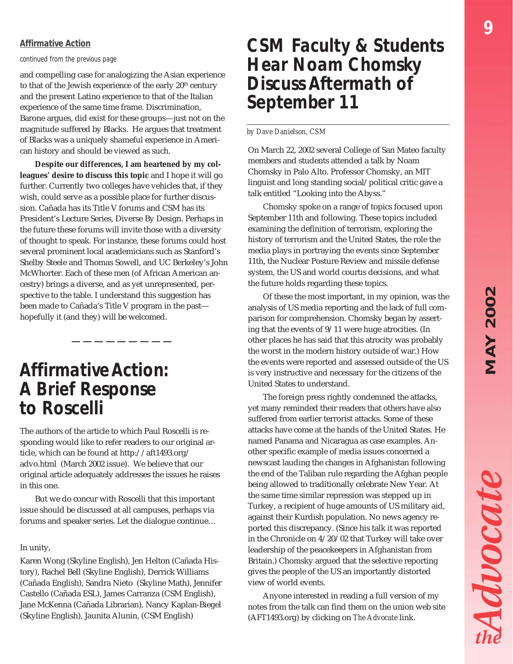# **MAY 2002** *MAY 2002*

#### *Affirmative Action*

*continued from the previous page*

and compelling case for analogizing the Asian experience to that of the Jewish experience of the early 20<sup>th</sup> century and the present Latino experience to that of the Italian experience of the same time frame. Discrimination, Barone argues, did exist for these groups—just not on the magnitude suffered by Blacks. He argues that treatment of Blacks was a uniquely shameful experience in American history and should be viewed as such.

**Despite our differences, I am heartened by my colleagues' desire to discuss this topic** and I hope it will go further. Currently two colleges have vehicles that, if they wish, could serve as a possible place for further discussion. Cañada has its Title V forums and CSM has its President's Lecture Series, Diverse By Design. Perhaps in the future these forums will invite those with a diversity of thought to speak. For instance, these forums could host several prominent local academicians such as Stanford's Shelby Steele and Thomas Sowell, and UC Berkeley's John McWhorter. Each of these men (of African American ancestry) brings a diverse, and as yet unrepresented, perspective to the table. I understand this suggestion has been made to Cañada's Title V program in the past hopefully it (and they) will be welcomed.

### *Affirmative Action: A Brief Response to Roscelli*

The authors of the article to which Paul Roscelli is responding would like to refer readers to our original article, which can be found at http://aft1493.org/ advo.html (March 2002 issue). We believe that our original article adequately addresses the issues he raises in this one.

But we do concur with Roscelli that this important issue should be discussed at all campuses, perhaps via forums and speaker series. Let the dialogue continue…

#### In unity,

Karen Wong (Skyline English), Jen Helton (Cañada History), Rachel Bell (Skyline English), Derrick Williams (Cañada English), Sandra Nieto (Skyline Math), Jennifer Castello (Cañada ESL), James Carranza (CSM English), Jane McKenna (Cañada Librarian), Nancy Kaplan-Biegel (Skyline English), Jaunita Alunin, (CSM English)

### *CSM Faculty & Students Hear Noam Chomsky Discuss Aftermath of September 11*

#### *by Dave Danielson, CSM*

On March 22, 2002 several College of San Mateo faculty members and students attended a talk by Noam Chomsky in Palo Alto. Professor Chomsky, an MIT linguist and long standing social/political critic gave a talk entitled "Looking into the Abyss."

Chomsky spoke on a range of topics focused upon September 11th and following. These topics included examining the definition of terrorism, exploring the history of terrorism and the United States, the role the media plays in portraying the events since September 11th, the Nuclear Posture Review and missile defense system, the US and world courtıs decisions, and what the future holds regarding these topics.

Of these the most important, in my opinion, was the analysis of US media reporting and the lack of full comparison for comprehension. Chomsky began by asserting that the events of 9/11 were huge atrocities. (In other places he has said that this atrocity was probably the worst in the modern history outside of war.) How the events were reported and assessed outside of the US is very instructive and necessary for the citizens of the United States to understand.

The foreign press rightly condemned the attacks, yet many reminded their readers that others have also suffered from earlier terrorist attacks. Some of these attacks have come at the hands of the United States. He named Panama and Nicaragua as case examples. Another specific example of media issues concerned a newscast lauding the changes in Afghanistan following the end of the Taliban rule regarding the Afghan people being allowed to traditionally celebrate New Year. At the same time similar repression was stepped up in Turkey, a recipient of huge amounts of US military aid, against their Kurdish population. No news agency reported this discrepancy. (Since his talk it was reported in the Chronicle on 4/20/02 that Turkey will take over leadership of the peacekeepers in Afghanistan from Britain.) Chomsky argued that the selective reporting gives the people of the US an importantly distorted view of world events.

Anyone interested in reading a full version of my notes from the talk can find them on the union web site (AFT1493.org) by clicking on *The Advocate* link.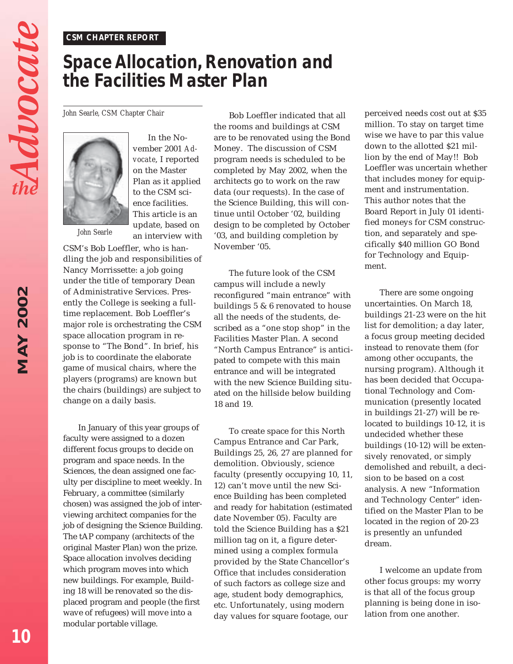#### *CSM CHAPTER REPORT*

## *Space Allocation, Renovation and the Facilities Master Plan*

*John Searle, CSM Chapter Chair*



In the November 2001 *Advocate*, I reported on the Master Plan as it applied to the CSM science facilities. This article is an update, based on an interview with

*John Searle*

CSM's Bob Loeffler, who is handling the job and responsibilities of Nancy Morrissette: a job going under the title of temporary Dean of Administrative Services. Presently the College is seeking a fulltime replacement. Bob Loeffler's major role is orchestrating the CSM space allocation program in response to "The Bond". In brief, his job is to coordinate the elaborate game of musical chairs, where the players (programs) are known but the chairs (buildings) are subject to change on a daily basis.

In January of this year groups of faculty were assigned to a dozen different focus groups to decide on program and space needs. In the Sciences, the dean assigned one faculty per discipline to meet weekly. In February, a committee (similarly chosen) was assigned the job of interviewing architect companies for the job of designing the Science Building. The tAP company (architects of the original Master Plan) won the prize. Space allocation involves deciding which program moves into which new buildings. For example, Building 18 will be renovated so the displaced program and people (the first wave of refugees) will move into a modular portable village.

Bob Loeffler indicated that all the rooms and buildings at CSM are to be renovated using the Bond Money. The discussion of CSM program needs is scheduled to be completed by May 2002, when the architects go to work on the raw data (our requests). In the case of the Science Building, this will continue until October '02, building design to be completed by October '03, and building completion by November '05.

The future look of the CSM campus will include a newly reconfigured "main entrance" with buildings 5 & 6 renovated to house all the needs of the students, described as a "one stop shop" in the Facilities Master Plan. A second "North Campus Entrance" is anticipated to compete with this main entrance and will be integrated with the new Science Building situated on the hillside below building 18 and 19.

To create space for this North Campus Entrance and Car Park, Buildings 25, 26, 27 are planned for demolition. Obviously, science faculty (presently occupying 10, 11, 12) can't move until the new Science Building has been completed and ready for habitation (estimated date November 05). Faculty are told the Science Building has a \$21 million tag on it, a figure determined using a complex formula provided by the State Chancellor's Office that includes consideration of such factors as college size and age, student body demographics, etc. Unfortunately, using modern day values for square footage, our

perceived needs cost out at \$35 million. To stay on target time wise we have to par this value down to the allotted \$21 million by the end of May!! Bob Loeffler was uncertain whether that includes money for equipment and instrumentation. This author notes that the Board Report in July 01 identified moneys for CSM construction, and separately and specifically \$40 million GO Bond for Technology and Equipment.

There are some ongoing uncertainties. On March 18, buildings 21-23 were on the hit list for demolition; a day later, a focus group meeting decided instead to renovate them (for among other occupants, the nursing program). Although it has been decided that Occupational Technology and Communication (presently located in buildings 21-27) will be relocated to buildings 10-12, it is undecided whether these buildings (10-12) will be extensively renovated, or simply demolished and rebuilt, a decision to be based on a cost analysis. A new "Information and Technology Center" identified on the Master Plan to be located in the region of 20-23 is presently an unfunded dream.

I welcome an update from other focus groups: my worry is that all of the focus group planning is being done in isolation from one another.

Advocate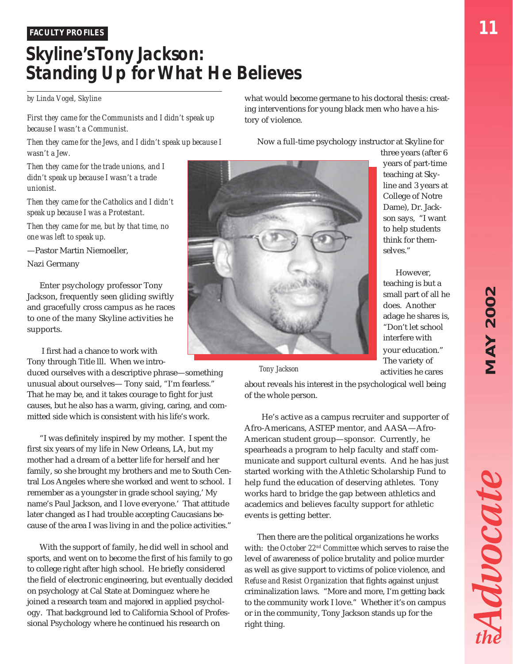# **MAY 2002** *MAY 2002*

Advocate

#### *FACULTY PROFILES*

## *Skyline's Tony Jackson: Standing Up for What He Believes*

#### *by Linda Vogel, Skyline*

*First they came for the Communists and I didn't speak up because I wasn't a Communist.*

*Then they came for the Jews, and I didn't speak up because I wasn't a Jew.*

*Then they came for the trade unions, and I didn't speak up because I wasn't a trade unionist.*

*Then they came for the Catholics and I didn't speak up because I was a Protestant.*

*Then they came for me, but by that time, no one was left to speak up.*

—Pastor Martin Niemoeller,

Nazi Germany

Enter psychology professor Tony Jackson, frequently seen gliding swiftly and gracefully cross campus as he races to one of the many Skyline activities he supports.

 I first had a chance to work with Tony through Title lll. When we intro-

duced ourselves with a descriptive phrase—something unusual about ourselves— Tony said, "I'm fearless." That he may be, and it takes courage to fight for just causes, but he also has a warm, giving, caring, and committed side which is consistent with his life's work.

"I was definitely inspired by my mother. I spent the first six years of my life in New Orleans, LA, but my mother had a dream of a better life for herself and her family, so she brought my brothers and me to South Central Los Angeles where she worked and went to school. I remember as a youngster in grade school saying,' My name's Paul Jackson, and I love everyone.' That attitude later changed as I had trouble accepting Caucasians because of the area I was living in and the police activities."

With the support of family, he did well in school and sports, and went on to become the first of his family to go to college right after high school. He briefly considered the field of electronic engineering, but eventually decided on psychology at Cal State at Dominguez where he joined a research team and majored in applied psychology. That background led to California School of Professional Psychology where he continued his research on

what would become germane to his doctoral thesis: creating interventions for young black men who have a history of violence.

Now a full-time psychology instructor at Skyline for

three years (after 6 years of part-time teaching at Skyline and 3 years at College of Notre Dame), Dr. Jackson says, "I want to help students think for themselves."

However, teaching is but a small part of all he does. Another adage he shares is, "Don't let school interfere with your education." The variety of activities he cares

*Tony Jackson*

about reveals his interest in the psychological well being of the whole person.

 He's active as a campus recruiter and supporter of Afro-Americans, ASTEP mentor, and AASA—Afro-American student group—sponsor. Currently, he spearheads a program to help faculty and staff communicate and support cultural events. And he has just started working with the Athletic Scholarship Fund to help fund the education of deserving athletes. Tony works hard to bridge the gap between athletics and academics and believes faculty support for athletic events is getting better.

Then there are the political organizations he works with: the *October 22nd Committee* which serves to raise the level of awareness of police brutality and police murder as well as give support to victims of police violence, and *Refuse and Resist Organization* that fights against unjust criminalization laws. "More and more, I'm getting back to the community work I love." Whether it's on campus or in the community, Tony Jackson stands up for the right thing.

*11*